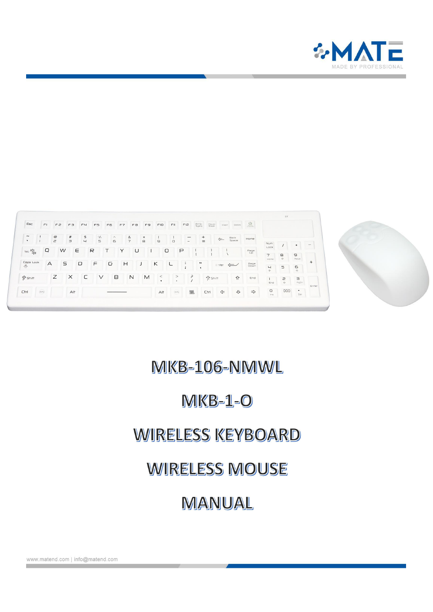

| $\epsilon$ sc                        | F1                     | FZ                      | $F \ni$           | F4             | FS                            | F6            | F7                  | FB           | F9       | FIO              | FII                                       | FI2                                        | Prt Sc<br>Syste                  | Pause<br>Break | insert       | Detete        | $\underbrace{\mathbb{O}}_{\text{infinite}}$ |                                |                          |                                                                                                                                                                                                                                                                        |        |
|--------------------------------------|------------------------|-------------------------|-------------------|----------------|-------------------------------|---------------|---------------------|--------------|----------|------------------|-------------------------------------------|--------------------------------------------|----------------------------------|----------------|--------------|---------------|---------------------------------------------|--------------------------------|--------------------------|------------------------------------------------------------------------------------------------------------------------------------------------------------------------------------------------------------------------------------------------------------------------|--------|
| $\widetilde{\phantom{m}}$<br>$\cdot$ |                        | $^\copyright$<br>$\geq$ | $\#$<br>$\exists$ | \$<br>$\sqcup$ | $\%$<br>$\mathord{\mathbb S}$ | $\wedge$<br>6 | &<br>$\overline{7}$ |              | $*$<br>8 | $\ominus$        | $\Box$                                    | $\sim$                                     | $^{+}$<br>$=$                    |                | $\leftarrow$ | Back<br>Space | Home                                        |                                |                          |                                                                                                                                                                                                                                                                        |        |
| 阳空                                   | Q                      |                         | E<br>W            |                | R                             |               | Y                   | U            |          |                  | $\cup$                                    | P                                          |                                  |                |              |               | Page<br>Up                                  | Num<br>Lock                    |                          |                                                                                                                                                                                                                                                                        | $\sim$ |
|                                      |                        |                         |                   |                |                               |               |                     |              |          |                  |                                           |                                            |                                  |                |              |               |                                             | $\overline{7}$<br>Home         | $\frac{1}{\gamma}$ (ii   | $\mathrel{\ensuremath{\mathrel{\mathop{\scriptstyle\mathop{\mathop{\scriptstyle\mathop{\mathop{\scriptstyle\mathop{\mathop{\scriptstyle\mathop{\mathop{\scriptstyle\mathop{\mathop{\scriptstyle\mathop{\mathop{\scriptstyle\mathop{\mathop{\cal E}}}}}}}}}}}}$<br>PaUp |        |
| Caps Lock<br>$\mathbb{A}$            | A                      |                         | S                 | $\Box$         | F                             | G             | H                   |              |          | Κ                | └                                         | $\ddot{\phantom{a}}$<br>$\cdot$<br>$\cdot$ | $\cdots$<br>$\ddot{\phantom{1}}$ |                | Enter <      |               | Page<br>Down                                | $\overline{u}$<br>$\leftarrow$ | $\overline{\phantom{0}}$ | 6<br>$\Rightarrow$                                                                                                                                                                                                                                                     | $^{+}$ |
| $\hat{I}$ Shift                      |                        | Ζ                       | $\times$          | C              | $\vee$                        | в             |                     | $\mathsf{N}$ | M        | $\,<$<br>$\cdot$ | ><br>$\cdot$                              |                                            | 3                                | <b>n</b> shift |              | $\hat{P}$     | End                                         | End                            | 2<br>45                  | $\exists$<br>PgDn                                                                                                                                                                                                                                                      |        |
| Ctrl                                 | $\widehat{\text{WIN}}$ |                         | Alt               |                |                               |               |                     |              |          | Alt              | $\langle \overline{\textrm{vvs}} \rangle$ | 国                                          |                                  | Ctrl           | ⇐            | 子             | $\Rightarrow$                               | $\circ$<br>Ins                 | 000                      | $\bullet$<br>Del                                                                                                                                                                                                                                                       | Enter  |

# MKB-106-NMWL

## $MKB-1-O$

## **WIRELESS KEYBOARD**

## **WIRELESS MOUSE**

# MANUAL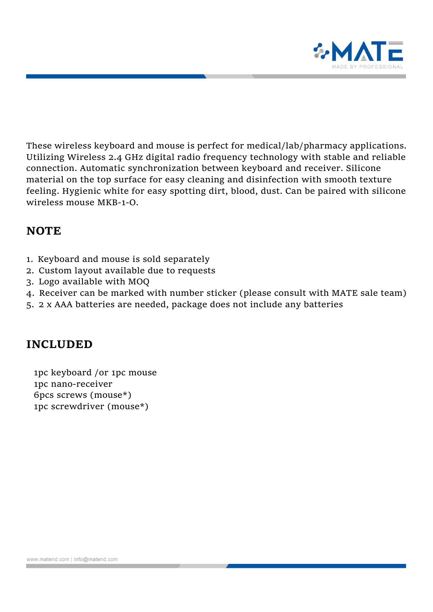

These wireless keyboard and mouse is perfect for medical/lab/pharmacy applications. Utilizing Wireless 2.4 GHz digital radio frequency technology with stable and reliable connection. Automatic synchronization between keyboard and receiver. Silicone material on the top surface for easy cleaning and disinfection with smooth texture feeling. Hygienic white for easy spotting dirt, blood, dust. Can be paired with silicone wireless mouse MKB-1-O.

### **NOTE**

- 1. Keyboard and mouse is sold separately
- 2. Custom layout available due to requests
- 3. Logo available with MOQ
- 4. Receiver can be marked with number sticker (please consult with MATE sale team)
- 5. 2 x AAA batteries are needed, package does not include any batteries

## **INCLUDED**

1pc keyboard /or 1pc mouse 1pc nano-receiver 6pcs screws (mouse\*) 1pc screwdriver (mouse\*)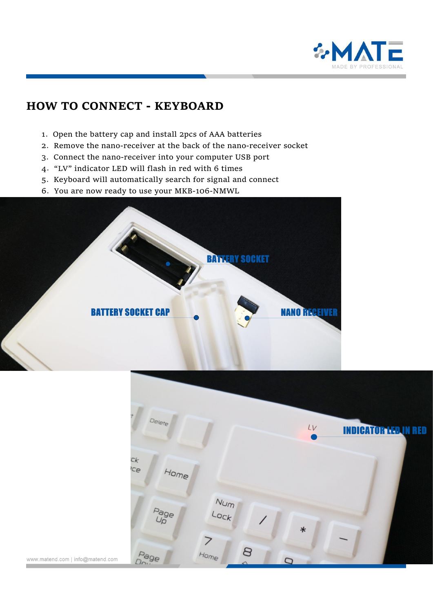

## **HOW TO CONNECT - KEYBOARD**

- .Open the battery cap and install 2pcs of AAA batteries
- .Remove the nano-receiver at the back of the nano-receiver socket
- .Connect the nano-receiver into your computer USB port
- ."LV" indicator LED will flash in red with 6 times
- .Keyboard will automatically search for signal and connect
- .You are now ready to use your MKB-106-NMWL



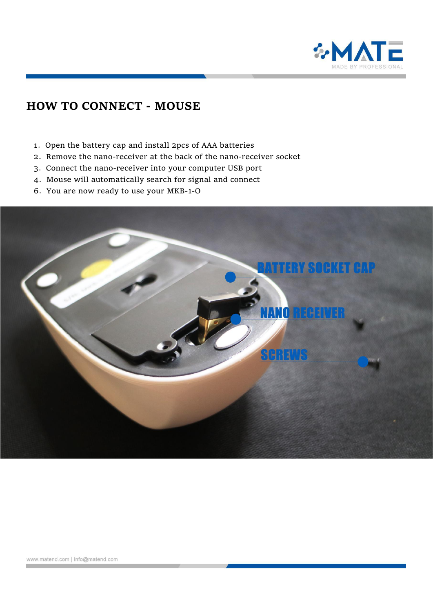

## **HOW TO CONNECT - MOUSE**

- .Open the battery cap and install 2pcs of AAA batteries
- .Remove the nano-receiver at the back of the nano-receiver socket
- .Connect the nano-receiver into your computer USB port
- .Mouse will automatically search for signal and connect
- .You are now ready to use your MKB-1-O

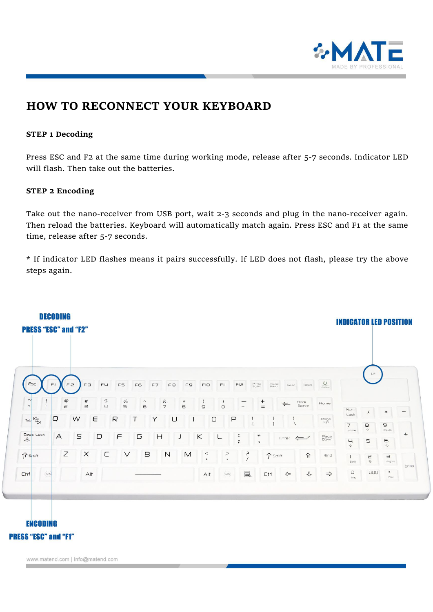

## **HOW TO RECONNECT YOUR KEYBOARD**

#### **STEP 1 Decoding**

Press ESC and F2 at the same time during working mode, release after 5-7 seconds. Indicator LED will flash. Then take out the batteries.

#### **STEP 2 Encoding**

Take out the nano-receiver from USB port, wait 2-3 seconds and plug in the nano-receiver again. Then reload the batteries. Keyboard will automatically match again. Press ESC and F1 at the same time, release after 5-7 seconds.

\* If indicator LED flashes means it pairs successfully. If LED does not flash, please try the above steps again.

|                                                            | <b>PRESS "ESC" and "F2"</b>     |                     |                            |                                           |              |    |                        |                        |                          |                     |                              |                              |                |              |               |                                                                   |                                                    |                                 |                                                                                                     |       |
|------------------------------------------------------------|---------------------------------|---------------------|----------------------------|-------------------------------------------|--------------|----|------------------------|------------------------|--------------------------|---------------------|------------------------------|------------------------------|----------------|--------------|---------------|-------------------------------------------------------------------|----------------------------------------------------|---------------------------------|-----------------------------------------------------------------------------------------------------|-------|
|                                                            |                                 |                     |                            |                                           |              |    |                        |                        |                          |                     |                              |                              |                |              |               |                                                                   |                                                    | LV                              |                                                                                                     |       |
| Esc                                                        | F1<br>FZ                        | $F \ni$             | F <sub>H</sub>             | F5                                        | F6           | F7 | FB                     | F9                     | FIO                      | FII                 | FI2                          | Prt Sc<br>Sysra              | Pause<br>Break | Insert       | Delete        | $\bigcup_{\substack{\cup\{i\leq n\}\atop i\in\mathsf{TMO(A C)}}}$ |                                                    |                                 |                                                                                                     |       |
| $\mathbf{i}$<br>$\rightarrow$<br>$\mathbf{I}$<br>$\bullet$ | $^\copyright$<br>$\overline{c}$ | $^{\#}$<br>$\equiv$ | $\mathfrak{P}$<br>$\sqcup$ | $\frac{1}{2}$<br>$\overline{\phantom{0}}$ | $\land$<br>6 |    | $\&$<br>$\overline{7}$ | $\ast$<br>$\mathbf{B}$ | $\cup$                   | $\cup$              | $\overline{\phantom{a}}$     |                              | $^{+}$<br>$=$  | $\leftarrow$ | Back<br>Space | Home                                                              |                                                    |                                 |                                                                                                     |       |
| 尽<br>Tab                                                   | $\Box$                          | $\mathbb{R}$        | Τ<br>Υ                     |                                           |              | U  |                        |                        | $\overline{P}$<br>$\cup$ |                     |                              |                              |                |              | Num<br>Lock   |                                                                   | $*$                                                | $\hspace{0.1mm}-\hspace{0.1mm}$ |                                                                                                     |       |
| Caps Lock                                                  |                                 |                     |                            |                                           |              |    |                        |                        |                          |                     |                              |                              |                |              |               | $_{\rm Up}^{\rm Page}$                                            | $\overline{7}$<br>Home<br>$\sqcup$<br>$\leftarrow$ | $\rm ^{\rm s}$<br>$\hat{r}$     | $\hfill \Box$<br>PaUp<br>6<br>$\Rightarrow$                                                         | $+$   |
| $\mathbb{A}$                                               | $\overline{A}$                  | $\subseteq$         | $\Box$                     | $\sqrt{2}$                                | G            | H  |                        | J                      | Κ                        |                     | $\ddot{\cdot}$<br>$\ddot{ }$ | $\cdots$<br>$\bullet$        |                | Enter        | $\leftarrow$  | Page<br>Down                                                      |                                                    | $\mathord{\mathfrak{S}}$        |                                                                                                     |       |
| $\hat{T}$ shift                                            | $\boldsymbol{Z}$                | $\times$            | C                          | $\vee$                                    | $\boxminus$  |    | $\mathsf N$            | $\mathsf{M}$           | $\,<$<br>$\bullet$       | $\, >$<br>$\bullet$ |                              | $\epsilon$<br>$\overline{ }$ | fr Shift       |              | 介             | End                                                               | End                                                | $\equiv$<br>$\hat{\gamma}$      | $\begin{array}{c} \displaystyle\bigcup_{\mathbf{p}_{\mathbf{q} \mathsf{D} \mathsf{n}}} \end{array}$ |       |
| ×<br>Ctrl<br>(WIN                                          |                                 | Alt                 |                            |                                           |              |    |                        |                        | Alt                      | (WIN)               |                              | E                            | Ctrl           | $\Leftarrow$ | 介             | $\Rightarrow$                                                     | O<br>ins                                           | 000                             | $\bullet$<br>Det                                                                                    | Enter |

### **ENCODING PRESS "ESC" and "F1"**

www.matend.com | info@matend.com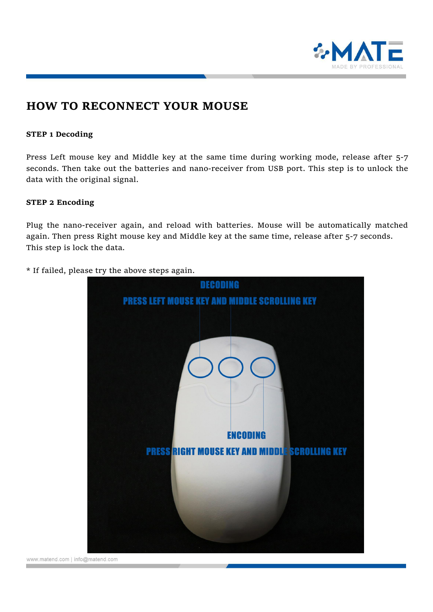

### **HOW TO RECONNECT YOUR MOUSE**

#### **STEP 1 Decoding**

Press Left mouse key and Middle key at the same time during working mode, release after 5-7 seconds. Then take out the batteries and nano-receiver from USB port. This step is to unlock the data with the original signal.

#### **STEP 2 Encoding**

Plug the nano-receiver again, and reload with batteries. Mouse will be automatically matched again. Then press Right mouse key and Middle key at the same time, release after 5-7 seconds. This step is lock the data.

\* If failed, please try the above steps again.